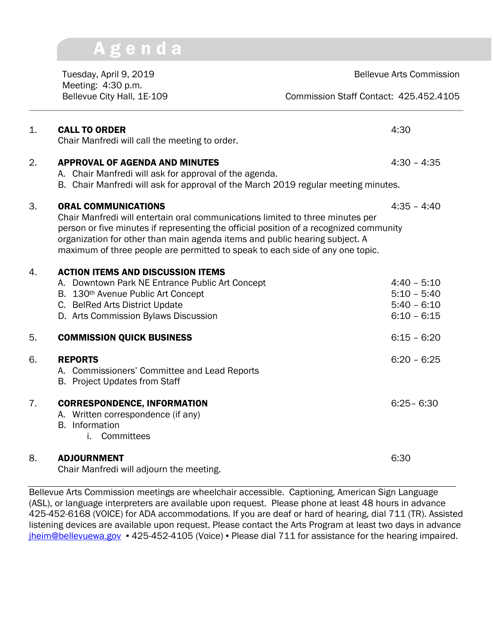## Bellevue City Hall, 1E-109 Commission Staff Contact: 425.452.4105 1. CALL TO ORDER 4:30 Chair Manfredi will call the meeting to order. 2. APPROVAL OF AGENDA AND MINUTES 4:30 - 4:35 A. Chair Manfredi will ask for approval of the agenda. B. Chair Manfredi will ask for approval of the March 2019 regular meeting minutes. 3. ORAL COMMUNICATIONS 4:35 – 4:40 Chair Manfredi will entertain oral communications limited to three minutes per person or five minutes if representing the official position of a recognized community organization for other than main agenda items and public hearing subject. A maximum of three people are permitted to speak to each side of any one topic. 4. ACTION ITEMS AND DISCUSSION ITEMS A. Downtown Park NE Entrance Public Art Concept  $4:40 - 5:10$ B. 130<sup>th</sup> Avenue Public Art Concept 5:10 – 5:40 C. BelRed Arts District Update 6:10 D. Arts Commission Bylaws Discussion 6:10 – 6:15 5. COMMISSION QUICK BUSINESS 6:15 – 6:20 6. REPORTS 6:20 – 6:25 A. Commissioners' Committee and Lead Reports B. Project Updates from Staff 7. CORRESPONDENCE, INFORMATION 6:25– 6:30 A. Written correspondence (if any) B. Information i. Committees 8. ADJOURNMENT 6:30 Chair Manfredi will adjourn the meeting.

Tuesday, April 9, 2019 **Bellevue Arts Commission** 

Meeting: 4:30 p.m.

A g e n d a

Bellevue Arts Commission meetings are wheelchair accessible. Captioning, American Sign Language (ASL), or language interpreters are available upon request. Please phone at least 48 hours in advance 425-452-6168 (VOICE) for ADA accommodations. If you are deaf or hard of hearing, dial 711 (TR). Assisted listening devices are available upon request. Please contact the Arts Program at least two days in advance [jheim@bellevuewa.gov](mailto:jheim@bellevuewa.gov) ▪ 425-452-4105 (Voice) ▪ Please dial 711 for assistance for the hearing impaired.